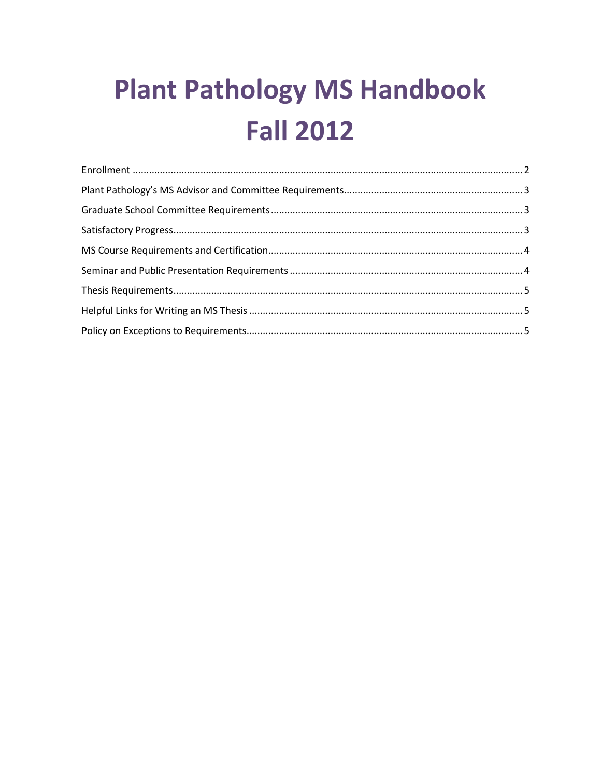# **Plant Pathology MS Handbook Fall 2012**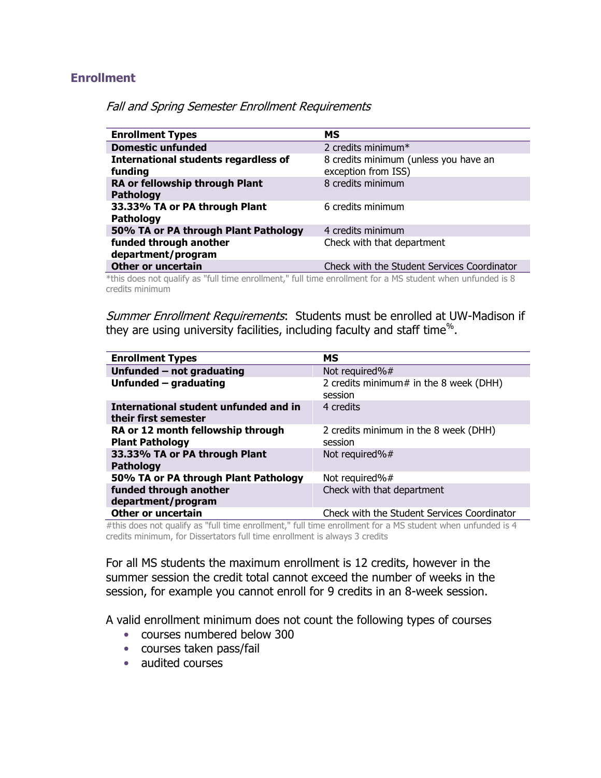## <span id="page-1-0"></span>**Enrollment**

#### Fall and Spring Semester Enrollment Requirements

| <b>Enrollment Types</b>                                | <b>MS</b>                                                    |
|--------------------------------------------------------|--------------------------------------------------------------|
| <b>Domestic unfunded</b>                               | 2 credits minimum $*$                                        |
| <b>International students regardless of</b><br>funding | 8 credits minimum (unless you have an<br>exception from ISS) |
| RA or fellowship through Plant<br><b>Pathology</b>     | 8 credits minimum                                            |
| 33.33% TA or PA through Plant<br><b>Pathology</b>      | 6 credits minimum                                            |
| 50% TA or PA through Plant Pathology                   | 4 credits minimum                                            |
| funded through another<br>department/program           | Check with that department                                   |
| <b>Other or uncertain</b>                              | Check with the Student Services Coordinator                  |

\*this does not qualify as "full time enrollment," full time enrollment for a MS student when unfunded is 8 credits minimum

Summer Enrollment Requirements: Students must be enrolled at UW-Madison if they are using university facilities, including faculty and staff time<sup>%</sup>.

| <b>Enrollment Types</b>                                       | <b>MS</b>                                         |
|---------------------------------------------------------------|---------------------------------------------------|
| Unfunded - not graduating                                     | Not required%#                                    |
| Unfunded - graduating                                         | 2 credits minimum# in the 8 week (DHH)<br>session |
| International student unfunded and in<br>their first semester | 4 credits                                         |
| RA or 12 month fellowship through<br><b>Plant Pathology</b>   | 2 credits minimum in the 8 week (DHH)<br>session  |
| 33.33% TA or PA through Plant<br><b>Pathology</b>             | Not required%#                                    |
| 50% TA or PA through Plant Pathology                          | Not required%#                                    |
| funded through another<br>department/program                  | Check with that department                        |
| Other or uncertain                                            | Check with the Student Services Coordinator       |

#this does not qualify as "full time enrollment," full time enrollment for a MS student when unfunded is 4 credits minimum, for Dissertators full time enrollment is always 3 credits

For all MS students the maximum enrollment is 12 credits, however in the summer session the credit total cannot exceed the number of weeks in the session, for example you cannot enroll for 9 credits in an 8-week session.

A valid enrollment minimum does not count the following types of courses

- courses numbered below 300
- courses taken pass/fail
- audited courses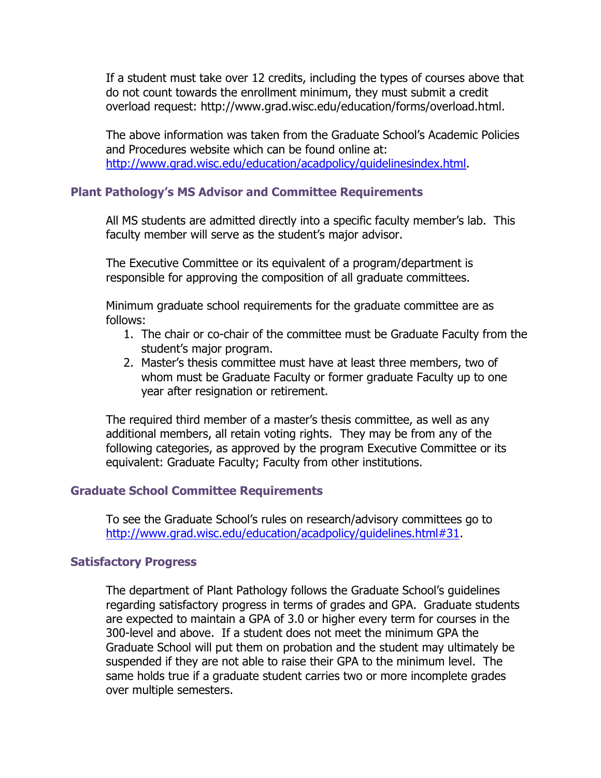If a student must take over 12 credits, including the types of courses above that do not count towards the enrollment minimum, they must submit a credit overload request: http://www.grad.wisc.edu/education/forms/overload.html.

The above information was taken from the Graduate School's Academic Policies and Procedures website which can be found online at: [http://www.grad.wisc.edu/education/acadpolicy/guidelinesindex.html.](http://www.grad.wisc.edu/education/acadpolicy/guidelinesindex.html)

## <span id="page-2-0"></span>**Plant Pathology's MS Advisor and Committee Requirements**

All MS students are admitted directly into a specific faculty member's lab. This faculty member will serve as the student's major advisor.

The Executive Committee or its equivalent of a program/department is responsible for approving the composition of all graduate committees.

Minimum graduate school requirements for the graduate committee are as follows:

- 1. The chair or co-chair of the committee must be Graduate Faculty from the student's major program.
- 2. Master's thesis committee must have at least three members, two of whom must be Graduate Faculty or former graduate Faculty up to one year after resignation or retirement.

The required third member of a master's thesis committee, as well as any additional members, all retain voting rights. They may be from any of the following categories, as approved by the program Executive Committee or its equivalent: Graduate Faculty; Faculty from other institutions.

## <span id="page-2-1"></span>**Graduate School Committee Requirements**

To see the Graduate School's rules on research/advisory committees go to [http://www.grad.wisc.edu/education/acadpolicy/guidelines.html#31.](http://www.grad.wisc.edu/education/acadpolicy/guidelines.html#31)

# <span id="page-2-2"></span>**Satisfactory Progress**

The department of Plant Pathology follows the Graduate School's guidelines regarding satisfactory progress in terms of grades and GPA. Graduate students are expected to maintain a GPA of 3.0 or higher every term for courses in the 300-level and above. If a student does not meet the minimum GPA the Graduate School will put them on probation and the student may ultimately be suspended if they are not able to raise their GPA to the minimum level. The same holds true if a graduate student carries two or more incomplete grades over multiple semesters.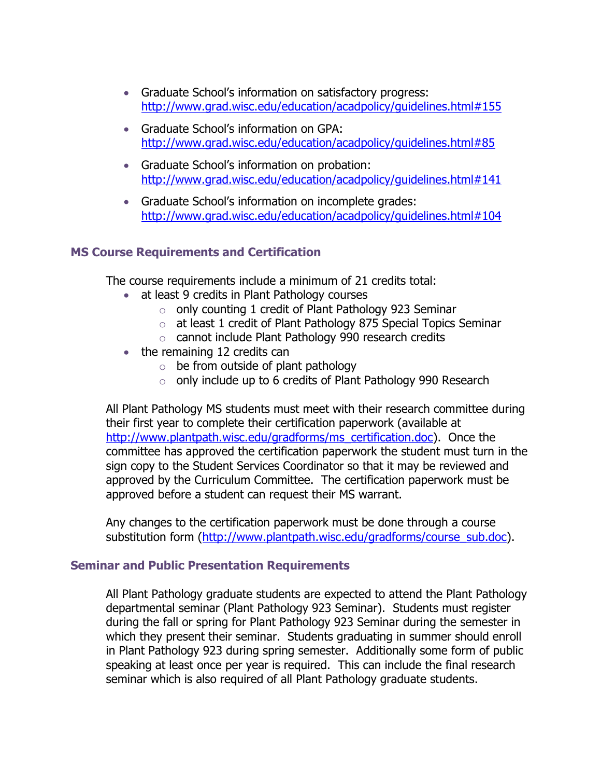- Graduate School's information on satisfactory progress: <http://www.grad.wisc.edu/education/acadpolicy/guidelines.html#155>
- Graduate School's information on GPA: <http://www.grad.wisc.edu/education/acadpolicy/guidelines.html#85>
- Graduate School's information on probation: <http://www.grad.wisc.edu/education/acadpolicy/guidelines.html#141>
- Graduate School's information on incomplete grades: <http://www.grad.wisc.edu/education/acadpolicy/guidelines.html#104>

# <span id="page-3-0"></span>**MS Course Requirements and Certification**

The course requirements include a minimum of 21 credits total:

- at least 9 credits in Plant Pathology courses
	- o only counting 1 credit of Plant Pathology 923 Seminar
	- o at least 1 credit of Plant Pathology 875 Special Topics Seminar
	- o cannot include Plant Pathology 990 research credits
- the remaining 12 credits can
	- $\circ$  be from outside of plant pathology
	- $\circ$  only include up to 6 credits of Plant Pathology 990 Research

All Plant Pathology MS students must meet with their research committee during their first year to complete their certification paperwork (available at [http://www.plantpath.wisc.edu/gradforms/ms\\_certification.doc\)](http://www.plantpath.wisc.edu/gradforms/ms_certification.doc). Once the committee has approved the certification paperwork the student must turn in the sign copy to the Student Services Coordinator so that it may be reviewed and approved by the Curriculum Committee. The certification paperwork must be approved before a student can request their MS warrant.

Any changes to the certification paperwork must be done through a course substitution form [\(http://www.plantpath.wisc.edu/gradforms/course\\_sub.doc\)](http://www.plantpath.wisc.edu/gradforms/course_sub.doc).

# <span id="page-3-1"></span>**Seminar and Public Presentation Requirements**

All Plant Pathology graduate students are expected to attend the Plant Pathology departmental seminar (Plant Pathology 923 Seminar). Students must register during the fall or spring for Plant Pathology 923 Seminar during the semester in which they present their seminar. Students graduating in summer should enroll in Plant Pathology 923 during spring semester. Additionally some form of public speaking at least once per year is required. This can include the final research seminar which is also required of all Plant Pathology graduate students.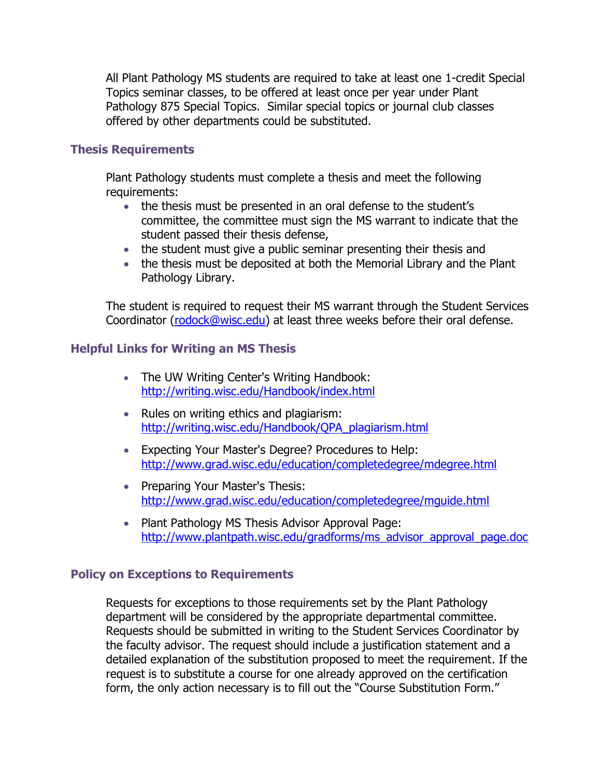All Plant Pathology MS students are required to take at least one 1-credit Special Topics seminar classes, to be offered at least once per year under Plant Pathology 875 Special Topics. Similar special topics or journal club classes offered by other departments could be substituted.

## <span id="page-4-0"></span>**Thesis Requirements**

Plant Pathology students must complete a thesis and meet the following requirements:

- the thesis must be presented in an oral defense to the student's committee, the committee must sign the MS warrant to indicate that the student passed their thesis defense,
- the student must give a public seminar presenting their thesis and
- the thesis must be deposited at both the Memorial Library and the Plant Pathology Library.

The student is required to request their MS warrant through the Student Services Coordinator [\(rodock@wisc.edu\)](mailto:rodock@wisc.edu) at least three weeks before their oral defense.

#### <span id="page-4-1"></span>**Helpful Links for Writing an MS Thesis**

- The UW Writing Center's Writing Handbook: <http://writing.wisc.edu/Handbook/index.html>
- Rules on writing ethics and plagiarism: [http://writing.wisc.edu/Handbook/QPA\\_plagiarism.html](http://writing.wisc.edu/Handbook/QPA_plagiarism.html)
- **Expecting Your Master's Degree? Procedures to Help:** <http://www.grad.wisc.edu/education/completedegree/mdegree.html>
- Preparing Your Master's Thesis: <http://www.grad.wisc.edu/education/completedegree/mguide.html>
- Plant Pathology MS Thesis Advisor Approval Page: [http://www.plantpath.wisc.edu/gradforms/ms\\_advisor\\_approval\\_page.doc](http://www.plantpath.wisc.edu/gradforms/ms_advisor_approval_page.doc)

#### <span id="page-4-2"></span>**Policy on Exceptions to Requirements**

Requests for exceptions to those requirements set by the Plant Pathology department will be considered by the appropriate departmental committee. Requests should be submitted in writing to the Student Services Coordinator by the faculty advisor. The request should include a justification statement and a detailed explanation of the substitution proposed to meet the requirement. If the request is to substitute a course for one already approved on the certification form, the only action necessary is to fill out the "Course Substitution Form."